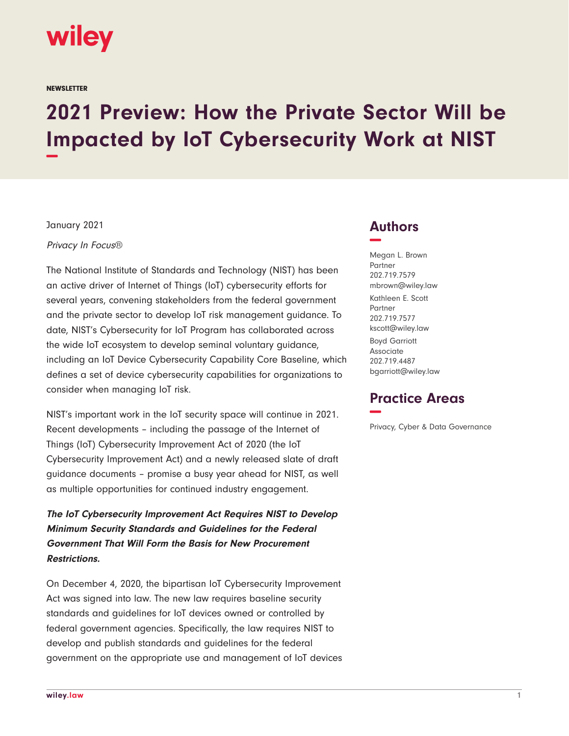

**NEWSLETTER** 

# **2021 Preview: How the Private Sector Will be Impacted by IoT Cybersecurity Work at NIST −**

January 2021

Privacy In Focus®

The National Institute of Standards and Technology (NIST) has been an active driver of Internet of Things (IoT) cybersecurity efforts for several years, convening stakeholders from the federal government and the private sector to develop IoT risk management guidance. To date, NIST's Cybersecurity for IoT Program has collaborated across the wide IoT ecosystem to develop seminal voluntary guidance, including an IoT Device Cybersecurity Capability Core Baseline, which defines a set of device cybersecurity capabilities for organizations to consider when managing IoT risk.

NIST's important work in the IoT security space will continue in 2021. Recent developments – including the passage of the Internet of Things (IoT) Cybersecurity Improvement Act of 2020 (the IoT Cybersecurity Improvement Act) and a newly released slate of draft guidance documents – promise a busy year ahead for NIST, as well as multiple opportunities for continued industry engagement.

**The IoT Cybersecurity Improvement Act Requires NIST to Develop Minimum Security Standards and Guidelines for the Federal Government That Will Form the Basis for New Procurement Restrictions.** 

On December 4, 2020, the bipartisan IoT Cybersecurity Improvement Act was signed into law. The new law requires baseline security standards and guidelines for IoT devices owned or controlled by federal government agencies. Specifically, the law requires NIST to develop and publish standards and guidelines for the federal government on the appropriate use and management of IoT devices

## **Authors −**

Megan L. Brown Partner 202.719.7579 mbrown@wiley.law Kathleen E. Scott Partner 202.719.7577 kscott@wiley.law Boyd Garriott Associate 202.719.4487 bgarriott@wiley.law

## **Practice Areas −**

Privacy, Cyber & Data Governance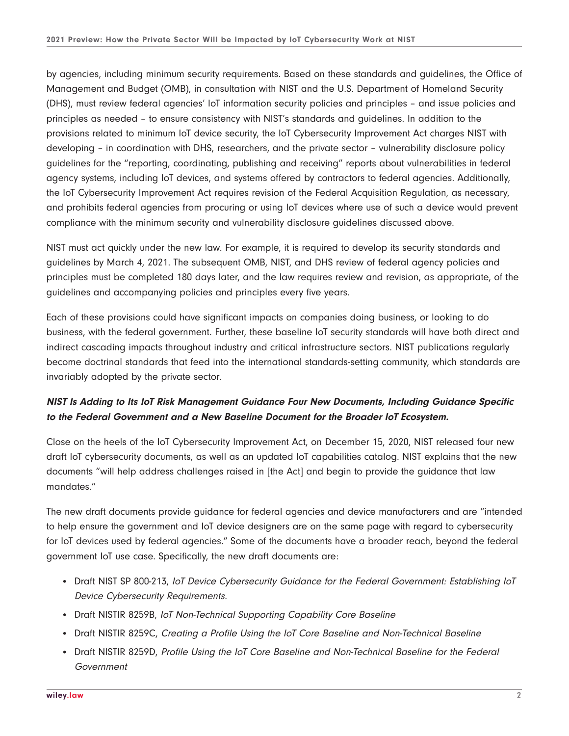by agencies, including minimum security requirements. Based on these standards and guidelines, the Office of Management and Budget (OMB), in consultation with NIST and the U.S. Department of Homeland Security (DHS), must review federal agencies' IoT information security policies and principles – and issue policies and principles as needed – to ensure consistency with NIST's standards and guidelines. In addition to the provisions related to minimum IoT device security, the IoT Cybersecurity Improvement Act charges NIST with developing – in coordination with DHS, researchers, and the private sector – vulnerability disclosure policy guidelines for the "reporting, coordinating, publishing and receiving" reports about vulnerabilities in federal agency systems, including IoT devices, and systems offered by contractors to federal agencies. Additionally, the IoT Cybersecurity Improvement Act requires revision of the Federal Acquisition Regulation, as necessary, and prohibits federal agencies from procuring or using IoT devices where use of such a device would prevent compliance with the minimum security and vulnerability disclosure guidelines discussed above.

NIST must act quickly under the new law. For example, it is required to develop its security standards and guidelines by March 4, 2021. The subsequent OMB, NIST, and DHS review of federal agency policies and principles must be completed 180 days later, and the law requires review and revision, as appropriate, of the guidelines and accompanying policies and principles every five years.

Each of these provisions could have significant impacts on companies doing business, or looking to do business, with the federal government. Further, these baseline IoT security standards will have both direct and indirect cascading impacts throughout industry and critical infrastructure sectors. NIST publications regularly become doctrinal standards that feed into the international standards-setting community, which standards are invariably adopted by the private sector.

## **NIST Is Adding to Its IoT Risk Management Guidance Four New Documents, Including Guidance Specific to the Federal Government and a New Baseline Document for the Broader IoT Ecosystem.**

Close on the heels of the IoT Cybersecurity Improvement Act, on December 15, 2020, NIST released four new draft IoT cybersecurity documents, as well as an updated IoT capabilities catalog. NIST explains that the new documents "will help address challenges raised in [the Act] and begin to provide the guidance that law mandates."

The new draft documents provide guidance for federal agencies and device manufacturers and are "intended to help ensure the government and IoT device designers are on the same page with regard to cybersecurity for IoT devices used by federal agencies." Some of the documents have a broader reach, beyond the federal government IoT use case. Specifically, the new draft documents are:

- Draft NIST SP 800-213, IoT Device Cybersecurity Guidance for the Federal Government: Establishing IoT Device Cybersecurity Requirements.
- Draft NISTIR 8259B, IoT Non-Technical Supporting Capability Core Baseline
- Draft NISTIR 8259C, Creating a Profile Using the IoT Core Baseline and Non-Technical Baseline
- Draft NISTIR 8259D, Profile Using the IoT Core Baseline and Non-Technical Baseline for the Federal Government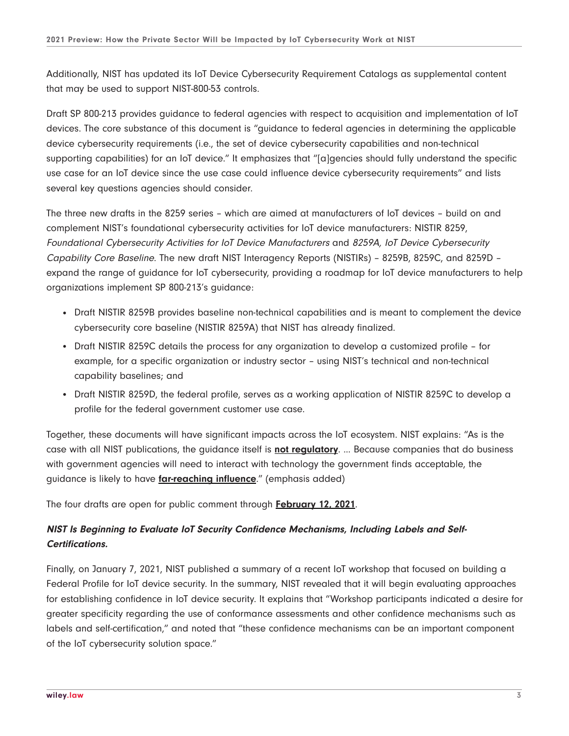Additionally, NIST has updated its IoT Device Cybersecurity Requirement Catalogs as supplemental content that may be used to support NIST-800-53 controls.

Draft SP 800-213 provides guidance to federal agencies with respect to acquisition and implementation of IoT devices. The core substance of this document is "guidance to federal agencies in determining the applicable device cybersecurity requirements (i.e., the set of device cybersecurity capabilities and non-technical supporting capabilities) for an IoT device." It emphasizes that "[a]gencies should fully understand the specific use case for an IoT device since the use case could influence device cybersecurity requirements" and lists several key questions agencies should consider.

The three new drafts in the 8259 series – which are aimed at manufacturers of IoT devices – build on and complement NIST's foundational cybersecurity activities for IoT device manufacturers: NISTIR 8259, Foundational Cybersecurity Activities for IoT Device Manufacturers and 8259A, IoT Device Cybersecurity Capability Core Baseline. The new draft NIST Interagency Reports (NISTIRs) – 8259B, 8259C, and 8259D – expand the range of guidance for IoT cybersecurity, providing a roadmap for IoT device manufacturers to help organizations implement SP 800-213's guidance:

- Draft NISTIR 8259B provides baseline non-technical capabilities and is meant to complement the device cybersecurity core baseline (NISTIR 8259A) that NIST has already finalized.
- Draft NISTIR 8259C details the process for any organization to develop a customized profile for example, for a specific organization or industry sector – using NIST's technical and non-technical capability baselines; and
- Draft NISTIR 8259D, the federal profile, serves as a working application of NISTIR 8259C to develop a profile for the federal government customer use case.

Together, these documents will have significant impacts across the IoT ecosystem. NIST explains: "As is the case with all NIST publications, the guidance itself is **not regulatory**. ... Because companies that do business with government agencies will need to interact with technology the government finds acceptable, the guidance is likely to have **far-reaching influence**." (emphasis added)

The four drafts are open for public comment through **February 12, 2021**.

#### **NIST Is Beginning to Evaluate IoT Security Confidence Mechanisms, Including Labels and Self-Certifications.**

Finally, on January 7, 2021, NIST published a summary of a recent IoT workshop that focused on building a Federal Profile for IoT device security. In the summary, NIST revealed that it will begin evaluating approaches for establishing confidence in IoT device security. It explains that "Workshop participants indicated a desire for greater specificity regarding the use of conformance assessments and other confidence mechanisms such as labels and self-certification," and noted that "these confidence mechanisms can be an important component of the IoT cybersecurity solution space."